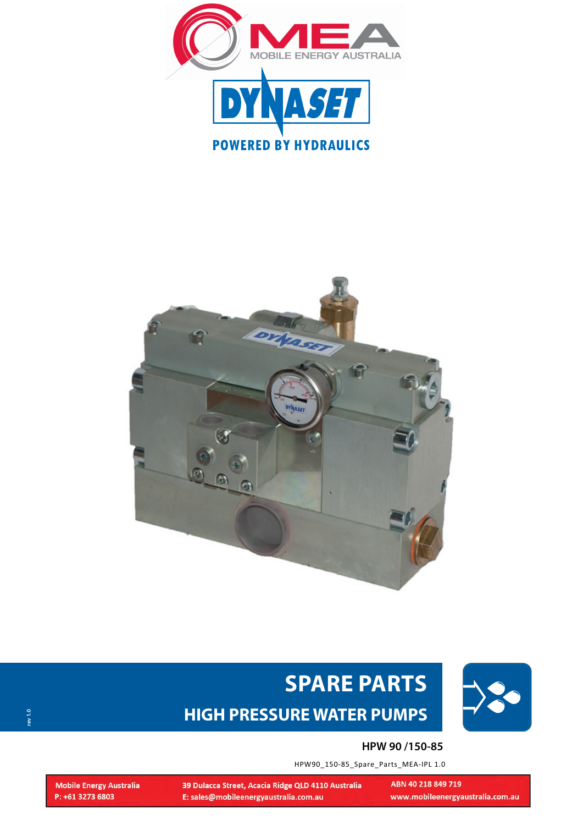





# www.dynaset.com **SPARE PARTS HIGH PRESSURE WATER PUMPS**

#### **HPW 90 /150-85**

ABN 40 218 849 719

www.mobileenergyaustralia.com.au

HPW90\_150-85\_Spare\_Parts\_MEA-IPL 1.0

39 Dulacca Street, Acacia Ridge QLD 4110 Australia E: sales@mobileenergyaustralia.com.au

**Mobile Energy Australia** P: +61 3273 6803

**rev 1.0**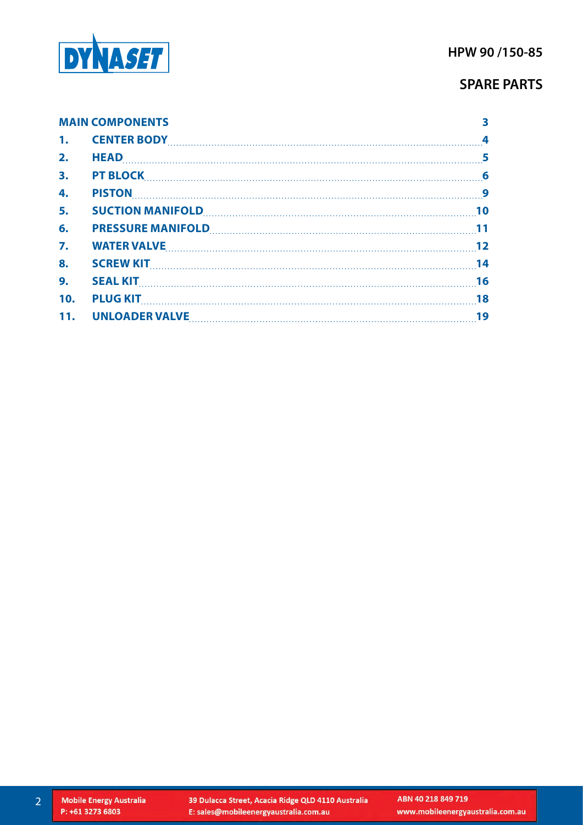

|     | <b>MAIN COMPONENTS</b>                   |  |
|-----|------------------------------------------|--|
|     |                                          |  |
| 2.  |                                          |  |
| 3.  | <b>PT BLOCK</b> 6                        |  |
| 4.  |                                          |  |
| 5.  |                                          |  |
| 6.  |                                          |  |
| 7.  | WATER VALVE 22                           |  |
| 8.  | <b>SCREW KIT</b> 14                      |  |
| 9.  | SEAL KIT 16                              |  |
| 10. | <b>PLUG KIT</b> 18                       |  |
|     | 11. UNLOADER VALVE <b>MARIOLE 11. 19</b> |  |

2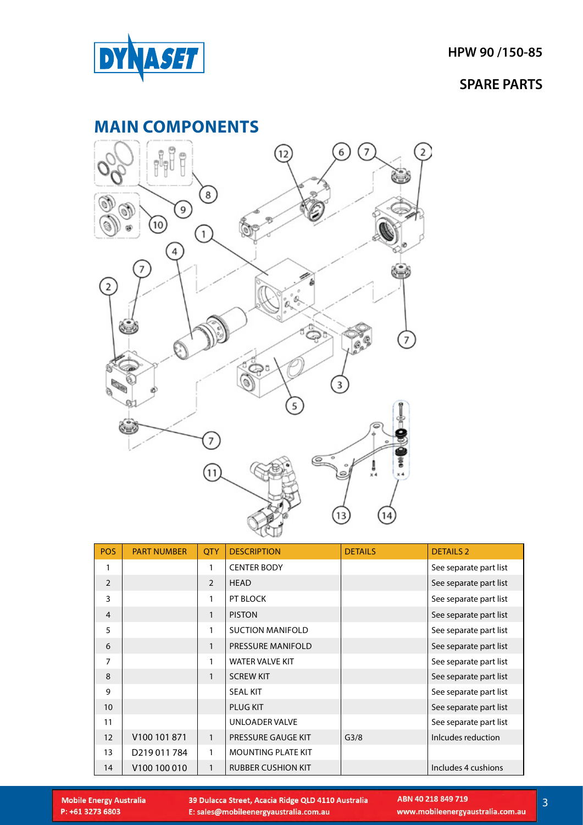<span id="page-2-0"></span>

### **MAIN COMPONENTS**



| <b>POS</b>        | <b>PART NUMBER</b>       | <b>QTY</b>     | <b>DESCRIPTION</b>        | <b>DETAILS</b>   | <b>DETAILS 2</b>       |
|-------------------|--------------------------|----------------|---------------------------|------------------|------------------------|
| 1                 |                          | 1              | <b>CENTER BODY</b>        |                  | See separate part list |
| 2                 |                          | $\overline{2}$ | <b>HEAD</b>               |                  | See separate part list |
| 3                 |                          | 1              | PT BLOCK                  |                  | See separate part list |
| $\overline{4}$    |                          | $\mathbf{1}$   | <b>PISTON</b>             |                  | See separate part list |
| 5                 |                          | 1              | <b>SUCTION MANIFOLD</b>   |                  | See separate part list |
| 6                 |                          | $\mathbf{1}$   | PRESSURE MANIFOLD         |                  | See separate part list |
| $\overline{7}$    |                          | 1              | <b>WATER VALVE KIT</b>    |                  | See separate part list |
| 8                 |                          | $\mathbf{1}$   | <b>SCREW KIT</b>          |                  | See separate part list |
| 9                 |                          |                | <b>SEAL KIT</b>           |                  | See separate part list |
| 10                |                          |                | <b>PLUG KIT</b>           |                  | See separate part list |
| 11                |                          |                | <b>UNLOADER VALVE</b>     |                  | See separate part list |
| $12 \overline{ }$ | V <sub>100</sub> 101 871 | $\mathbf{1}$   | PRESSURE GAUGE KIT        | G <sub>3/8</sub> | Inlcudes reduction     |
| 13                | D219011784               | 1              | <b>MOUNTING PLATE KIT</b> |                  |                        |
| 14                | V <sub>100</sub> 100 010 | $\mathbf{1}$   | <b>RUBBER CUSHION KIT</b> |                  | Includes 4 cushions    |

**Mobile Energy Australia** P: +61 3273 6803

39 Dulacca Street, Acacia Ridge QLD 4110 Australia E: sales@mobileenergyaustralia.com.au

www.mobileenergyaustralia.com.au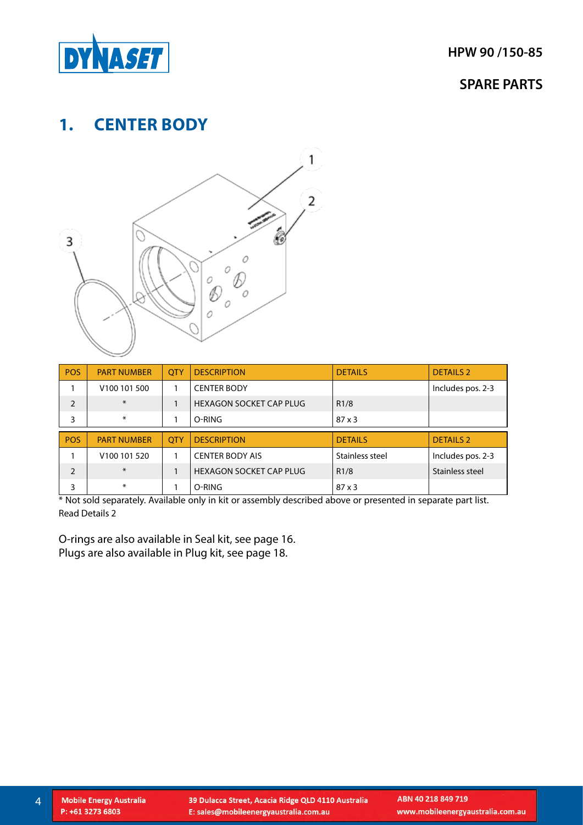<span id="page-3-0"></span>

# **1. CENTER BODY**



| <b>POS</b>     | <b>PART NUMBER</b>       | <b>OTY</b> | <b>DESCRIPTION</b>             | <b>DETAILS</b>  | <b>DETAILS 2</b>  |
|----------------|--------------------------|------------|--------------------------------|-----------------|-------------------|
|                | V <sub>100</sub> 101 500 |            | <b>CENTER BODY</b>             |                 | Includes pos. 2-3 |
| $\overline{2}$ | $\ast$                   |            | <b>HEXAGON SOCKET CAP PLUG</b> | R1/8            |                   |
| 3              | $\ast$                   |            | O-RING                         | $87 \times 3$   |                   |
|                |                          |            |                                |                 |                   |
| <b>POS</b>     | <b>PART NUMBER</b>       | <b>OTY</b> | <b>DESCRIPTION</b>             | <b>DETAILS</b>  | <b>DETAILS 2</b>  |
|                | V <sub>100</sub> 101 520 |            | <b>CENTER BODY AIS</b>         | Stainless steel | Includes pos. 2-3 |
| 2              | $\ast$                   |            | <b>HEXAGON SOCKET CAP PLUG</b> | R1/8            | Stainless steel   |

\* Not sold separately. Available only in kit or assembly described above or presented in separate part list. Read Details 2

O-rings are also available in Seal kit, see page 16. Plugs are also available in Plug kit, see page 18.

4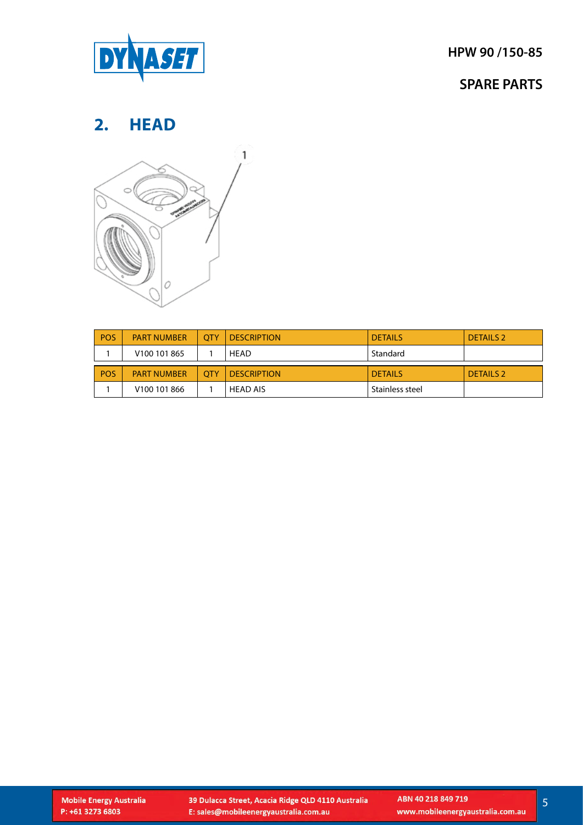<span id="page-4-0"></span>

### **SPARE PARTS**

# **2. HEAD**



| <b>POS</b> | <b>PART NUMBER</b>       | <b>OTY</b> | <b>DESCRIPTION</b> | <b>DETAILS</b>  | <b>DETAILS 2</b> |
|------------|--------------------------|------------|--------------------|-----------------|------------------|
|            | V <sub>100</sub> 101 865 |            | HEAD               | Standard        |                  |
| <b>POS</b> | <b>PART NUMBER</b>       | <b>OTY</b> | <b>DESCRIPTION</b> | <b>DETAILS</b>  | <b>DETAILS 2</b> |
|            | V <sub>100</sub> 101 866 |            | HEAD AIS           | Stainless steel |                  |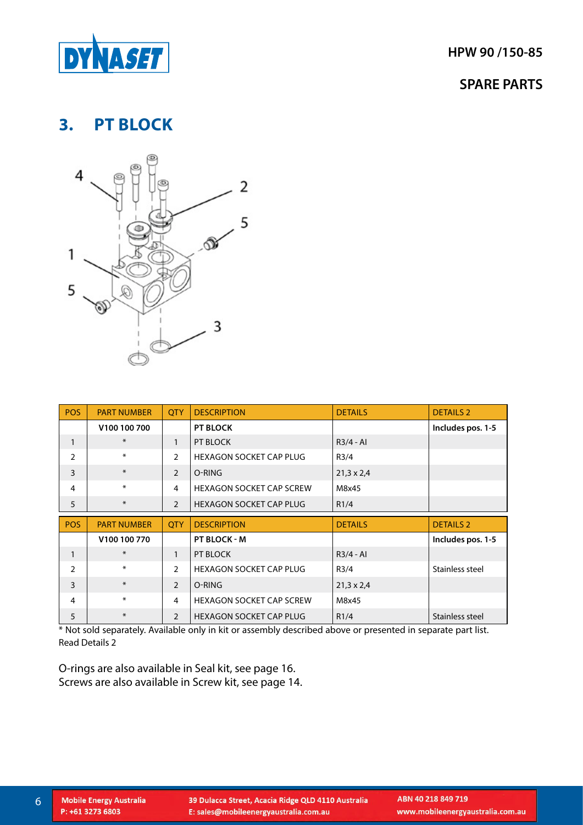<span id="page-5-0"></span>

# **3. PT BLOCK**



| <b>POS</b>   | <b>PART NUMBER</b> | <b>OTY</b>     | <b>DESCRIPTION</b>              | <b>DETAILS</b>    | <b>DETAILS 2</b>  |
|--------------|--------------------|----------------|---------------------------------|-------------------|-------------------|
|              | V100 100 700       |                | <b>PT BLOCK</b>                 |                   | Includes pos. 1-5 |
| $\mathbf{1}$ | $\ast$             | $\mathbf{1}$   | PT BLOCK                        | $R3/4 - Al$       |                   |
| 2            | $\ast$             | $\overline{2}$ | <b>HEXAGON SOCKET CAP PLUG</b>  | R3/4              |                   |
| 3            | $\ast$             | $\overline{2}$ | O-RING                          | $21,3 \times 2,4$ |                   |
| 4            | $\ast$             | 4              | <b>HEXAGON SOCKET CAP SCREW</b> | M8x45             |                   |
| 5            | $\ast$             | 2              | <b>HEXAGON SOCKET CAP PLUG</b>  | R1/4              |                   |
|              |                    |                |                                 |                   |                   |
| <b>POS</b>   | <b>PART NUMBER</b> | <b>OTY</b>     | <b>DESCRIPTION</b>              | <b>DETAILS</b>    | <b>DETAILS 2</b>  |
|              | V100 100 770       |                | PT BLOCK - M                    |                   | Includes pos. 1-5 |
| $\mathbf{1}$ | $\ast$             | $\mathbf{1}$   | PT BLOCK                        | $R3/4 - Al$       |                   |
| 2            | $\ast$             | $\overline{2}$ | <b>HEXAGON SOCKET CAP PLUG</b>  | R3/4              | Stainless steel   |
| 3            | $\ast$             | $\overline{2}$ | O-RING                          | $21,3 \times 2,4$ |                   |
| 4            | $\ast$             | $\overline{4}$ | <b>HEXAGON SOCKET CAP SCREW</b> | M8x45             |                   |

\* Not sold separately. Available only in kit or assembly described above or presented in separate part list. Read Details 2

O-rings are also available in Seal kit, see page 16. Screws are also available in Screw kit, see page 14.

**Mobile Energy Australia** 

P: +61 3273 6803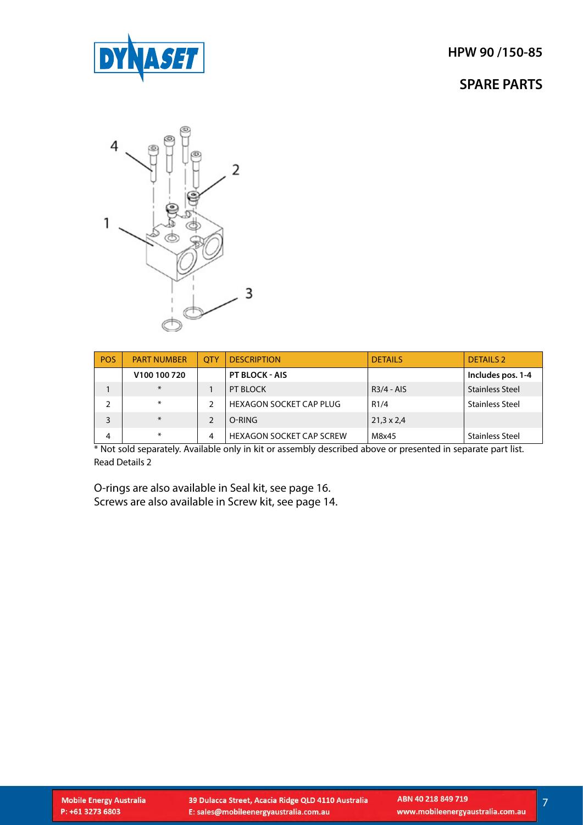

### **SPARE PARTS**



| <b>POS</b> | <b>PART NUMBER</b>       | <b>OTY</b> | <b>DESCRIPTION</b>              | <b>DETAILS</b>    | <b>DETAILS 2</b>       |
|------------|--------------------------|------------|---------------------------------|-------------------|------------------------|
|            | V <sub>100</sub> 100 720 |            | <b>PT BLOCK - AIS</b>           |                   | Includes pos. 1-4      |
|            | $*$                      |            | PT BLOCK                        | $R3/4 - AIS$      | <b>Stainless Steel</b> |
|            | $\ast$                   | C.         | <b>HEXAGON SOCKET CAP PLUG</b>  | R1/4              | <b>Stainless Steel</b> |
| 3          | $*$                      |            | O-RING                          | $21,3 \times 2,4$ |                        |
| 4          | ∗                        | 4          | <b>HEXAGON SOCKET CAP SCREW</b> | M8x45             | <b>Stainless Steel</b> |

\* Not sold separately. Available only in kit or assembly described above or presented in separate part list. Read Details 2

O-rings are also available in Seal kit, see page 16. Screws are also available in Screw kit, see page 14.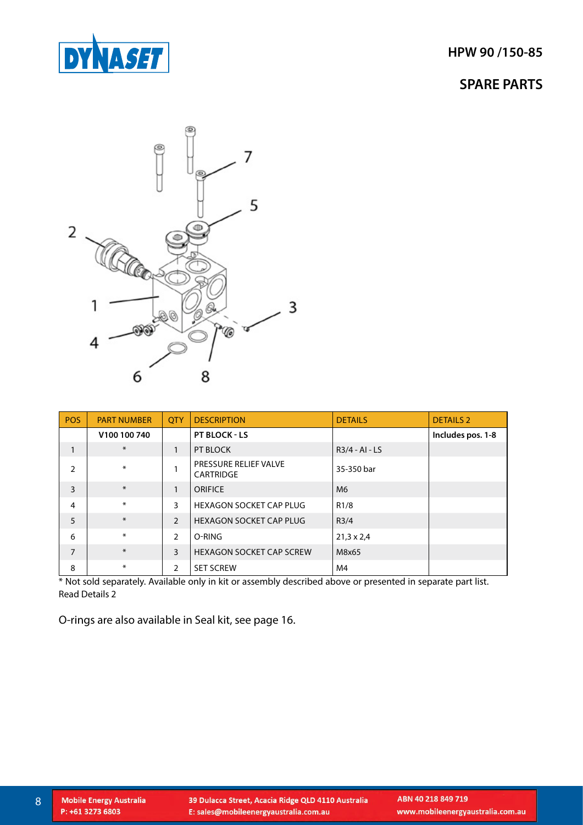



| <b>POS</b>     | <b>PART NUMBER</b> | <b>OTY</b>    | <b>DESCRIPTION</b>                        | <b>DETAILS</b>    | <b>DETAILS 2</b>  |
|----------------|--------------------|---------------|-------------------------------------------|-------------------|-------------------|
|                | V100 100 740       |               | <b>PT BLOCK - LS</b>                      |                   | Includes pos. 1-8 |
| 1              | $\ast$             | 1             | PT BLOCK                                  | $R3/4 - Al - LS$  |                   |
| $\mathcal{P}$  | ∗                  |               | <b>PRESSURE RELIEF VALVE</b><br>CARTRIDGE | 35-350 bar        |                   |
| 3              | $\ast$             | 1             | <b>ORIFICE</b>                            | M <sub>6</sub>    |                   |
| 4              | ∗                  | 3             | <b>HEXAGON SOCKET CAP PLUG</b>            | R1/8              |                   |
| 5              | $\ast$             | $\mathcal{P}$ | HEXAGON SOCKET CAP PLUG                   | R3/4              |                   |
| 6              | ∗                  | $\mathcal{P}$ | O-RING                                    | $21,3 \times 2,4$ |                   |
| $\overline{7}$ | $\ast$             | 3             | <b>HEXAGON SOCKET CAP SCREW</b>           | M8x65             |                   |
| 8              | ∗                  | 2             | <b>SET SCREW</b>                          | M4                |                   |

\* Not sold separately. Available only in kit or assembly described above or presented in separate part list. Read Details 2

O-rings are also available in Seal kit, see page 16.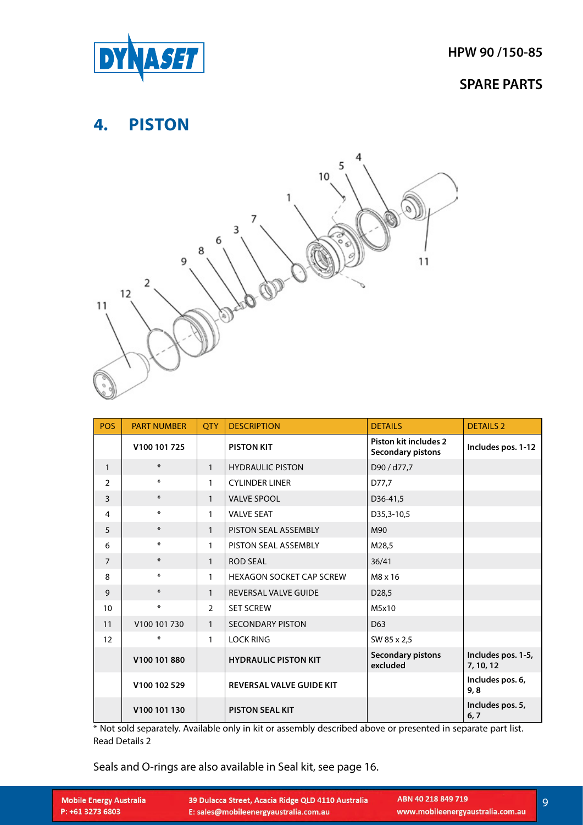<span id="page-8-0"></span>

### **4. PISTON**



| <b>POS</b>     | <b>PART NUMBER</b> | <b>OTY</b>     | <b>DESCRIPTION</b>              | <b>DETAILS</b>                                           | <b>DETAILS 2</b>                |
|----------------|--------------------|----------------|---------------------------------|----------------------------------------------------------|---------------------------------|
|                | V100 101 725       |                | <b>PISTON KIT</b>               | <b>Piston kit includes 2</b><br><b>Secondary pistons</b> | Includes pos. 1-12              |
| $\mathbf{1}$   | $\ast$             | $\mathbf{1}$   | <b>HYDRAULIC PISTON</b>         | D90 / d77,7                                              |                                 |
| 2              | $\ast$             | $\mathbf{1}$   | <b>CYLINDER LINER</b>           | D77,7                                                    |                                 |
| 3              | $\ast$             | $\mathbf{1}$   | <b>VALVE SPOOL</b>              | D36-41,5                                                 |                                 |
| 4              | $\ast$             | $\mathbf{1}$   | <b>VALVE SEAT</b>               | D35,3-10,5                                               |                                 |
| 5              | $\ast$             | $\mathbf{1}$   | PISTON SEAL ASSEMBLY            | M90                                                      |                                 |
| 6              | $\ast$             | 1              | PISTON SEAL ASSEMBLY            | M28,5                                                    |                                 |
| $\overline{7}$ | $\ast$             | $\mathbf{1}$   | <b>ROD SEAL</b>                 | 36/41                                                    |                                 |
| 8              | $\ast$             | 1              | <b>HEXAGON SOCKET CAP SCREW</b> | M8 x 16                                                  |                                 |
| 9              | $\ast$             | $\mathbf{1}$   | <b>REVERSAL VALVE GUIDE</b>     | D <sub>28</sub> ,5                                       |                                 |
| 10             | $\ast$             | $\overline{2}$ | <b>SET SCREW</b>                | M5x10                                                    |                                 |
| 11             | V100 101 730       | $\mathbf{1}$   | <b>SECONDARY PISTON</b>         | D <sub>63</sub>                                          |                                 |
| 12             | $\ast$             | $\mathbf{1}$   | <b>LOCK RING</b>                | SW 85 x 2,5                                              |                                 |
|                | V100 101 880       |                | <b>HYDRAULIC PISTON KIT</b>     | <b>Secondary pistons</b><br>excluded                     | Includes pos. 1-5,<br>7, 10, 12 |
|                | V100 102 529       |                | <b>REVERSAL VALVE GUIDE KIT</b> |                                                          | Includes pos. 6,<br>9,8         |
|                | V100 101 130       |                | <b>PISTON SEAL KIT</b>          |                                                          | Includes pos. 5,<br>6, 7        |

\* Not sold separately. Available only in kit or assembly described above or presented in separate part list. Read Details 2

Seals and O-rings are also available in Seal kit, see page 16.

| <b>Mobile Energy Australia</b> |
|--------------------------------|
| P: +61 3273 6803               |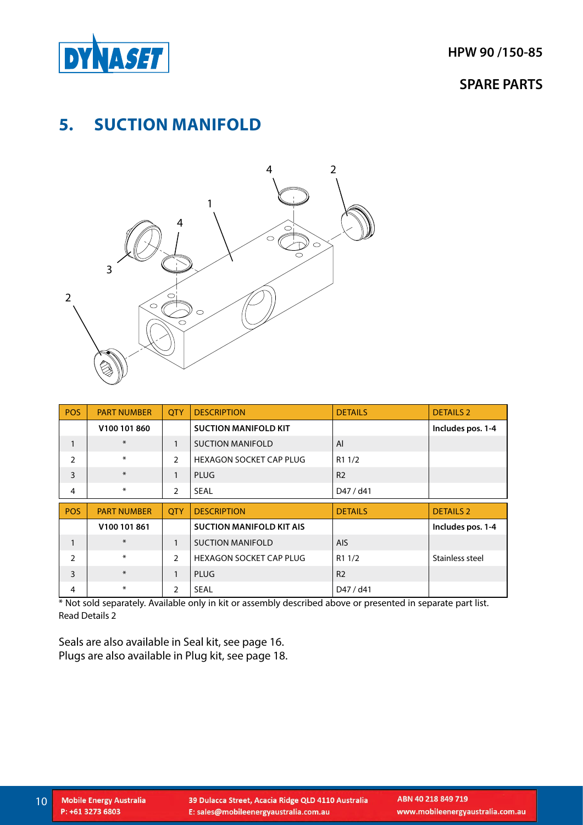<span id="page-9-0"></span>

### **SPARE PARTS**

# **5. SUCTION MANIFOLD**



| <b>POS</b>     | <b>PART NUMBER</b> | <b>QTY</b>     | <b>DESCRIPTION</b>              | <b>DETAILS</b>     | <b>DETAILS 2</b>  |
|----------------|--------------------|----------------|---------------------------------|--------------------|-------------------|
|                | V100 101 860       |                | <b>SUCTION MANIFOLD KIT</b>     |                    | Includes pos. 1-4 |
| 1              | $\ast$             | $\mathbf{1}$   | <b>SUCTION MANIFOLD</b>         | AI                 |                   |
| $\overline{2}$ | $\ast$             | $\overline{2}$ | <b>HEXAGON SOCKET CAP PLUG</b>  | R <sub>1</sub> 1/2 |                   |
| $\overline{3}$ | $\ast$             | 1              | PLUG                            | R <sub>2</sub>     |                   |
| 4              | $\ast$             | 2              | <b>SEAL</b>                     | D47 / d41          |                   |
|                |                    |                |                                 |                    |                   |
| <b>POS</b>     | <b>PART NUMBER</b> | <b>OTY</b>     | <b>DESCRIPTION</b>              | <b>DETAILS</b>     | <b>DETAILS 2</b>  |
|                | V100 101 861       |                | <b>SUCTION MANIFOLD KIT AIS</b> |                    | Includes pos. 1-4 |
| $\mathbf{1}$   | $\ast$             | $\mathbf{1}$   | <b>SUCTION MANIFOLD</b>         | <b>AIS</b>         |                   |
| $\overline{2}$ | $\ast$             | $\overline{2}$ | <b>HEXAGON SOCKET CAP PLUG</b>  | R1 1/2             | Stainless steel   |
| 3              | $\ast$             | 1              | <b>PLUG</b>                     | R <sub>2</sub>     |                   |

\* Not sold separately. Available only in kit or assembly described above or presented in separate part list. Read Details 2

Seals are also available in Seal kit, see page 16. Plugs are also available in Plug kit, see page 18.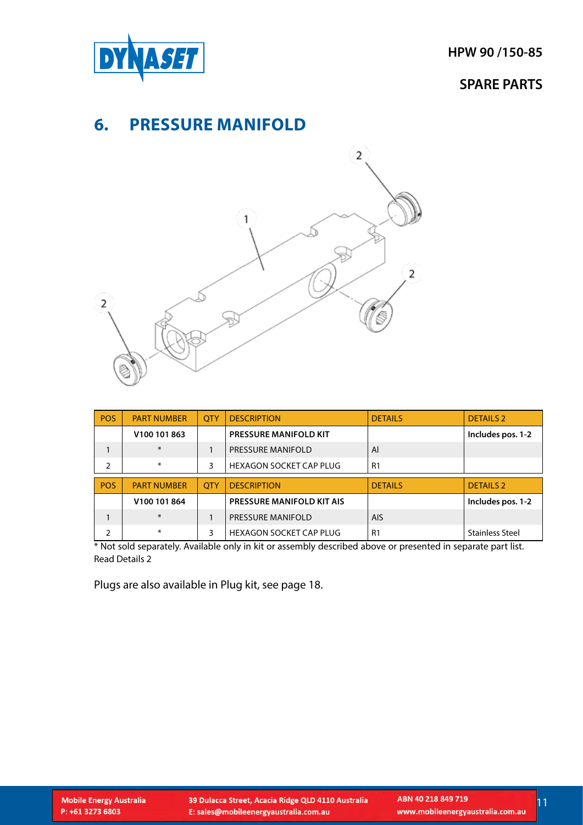<span id="page-10-0"></span>

### **SPARE PARTS**

### **6. PRESSURE MANIFOLD**



| <b>POS</b> | <b>PART NUMBER</b> | <b>OTY</b> | <b>DESCRIPTION</b>               | <b>DETAILS</b> | <b>DETAILS 2</b>  |
|------------|--------------------|------------|----------------------------------|----------------|-------------------|
|            | V100 101 863       |            | <b>PRESSURE MANIFOLD KIT</b>     |                | Includes pos. 1-2 |
|            | $*$                |            | <b>PRESSURE MANIFOLD</b>         | Al             |                   |
| 2          | $\ast$             | 3          | <b>HEXAGON SOCKET CAP PLUG</b>   | R <sub>1</sub> |                   |
|            |                    |            |                                  |                |                   |
|            |                    |            |                                  |                |                   |
| <b>POS</b> | <b>PART NUMBER</b> | <b>OTY</b> | <b>DESCRIPTION</b>               | <b>DETAILS</b> | <b>DETAILS 2</b>  |
|            | V100 101 864       |            | <b>PRESSURE MANIFOLD KIT AIS</b> |                | Includes pos. 1-2 |
|            | $*$                |            | <b>PRESSURE MANIFOLD</b>         | <b>AIS</b>     |                   |

\* Not sold separately. Available only in kit or assembly described above or presented in separate part list. Read Details 2

Plugs are also available in Plug kit, see page 18.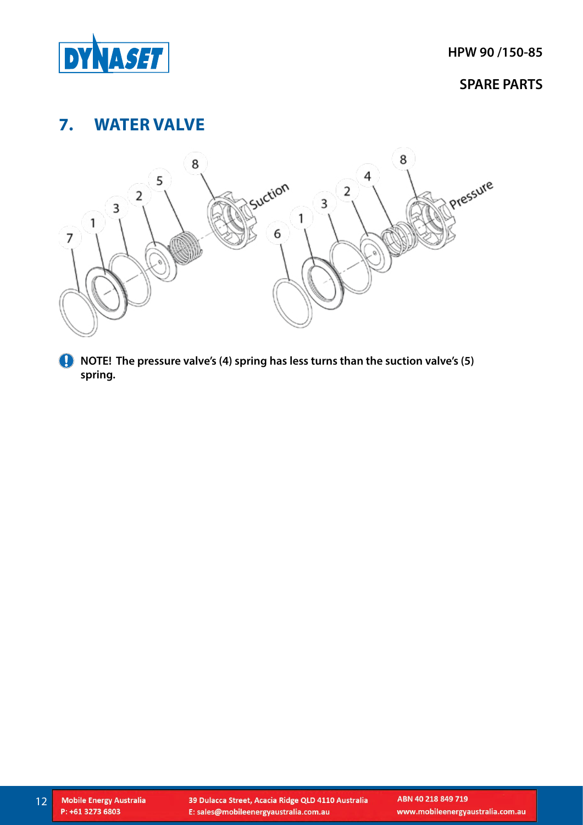<span id="page-11-0"></span>

# **7. WATER VALVE**



**NOTE! The pressure valve's (4) spring has less turns than the suction valve's (5) spring.**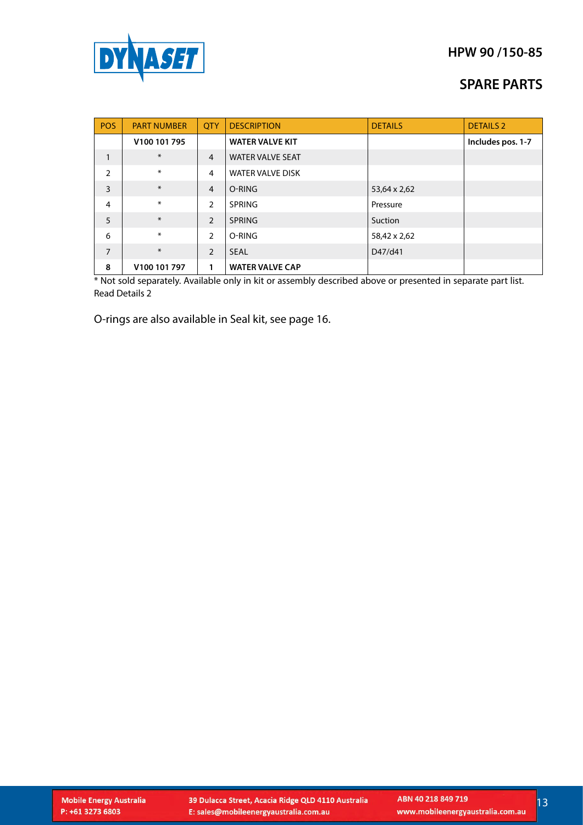

### **SPARE PARTS**

| POS            | <b>PART NUMBER</b> | <b>OTY</b>     | <b>DESCRIPTION</b>      | <b>DETAILS</b> | <b>DETAILS 2</b>  |
|----------------|--------------------|----------------|-------------------------|----------------|-------------------|
|                | V100 101 795       |                | <b>WATER VALVE KIT</b>  |                | Includes pos. 1-7 |
| $\mathbf{1}$   | $\ast$             | $\overline{4}$ | <b>WATER VALVE SEAT</b> |                |                   |
| $\overline{2}$ | ∗                  | $\overline{4}$ | <b>WATER VALVE DISK</b> |                |                   |
| $\overline{3}$ | $\ast$             | $\overline{4}$ | O-RING                  | 53,64 x 2,62   |                   |
| $\overline{4}$ | ∗                  | 2              | <b>SPRING</b>           | Pressure       |                   |
| 5              | $\ast$             | $\overline{2}$ | <b>SPRING</b>           | Suction        |                   |
| 6              | ∗                  | $\overline{2}$ | O-RING                  | 58,42 x 2,62   |                   |
| $\overline{7}$ | $\ast$             | 2              | <b>SEAL</b>             | D47/d41        |                   |
| 8              | V100 101 797       | 1              | <b>WATER VALVE CAP</b>  |                |                   |

\* Not sold separately. Available only in kit or assembly described above or presented in separate part list. Read Details 2

O-rings are also available in Seal kit, see page 16.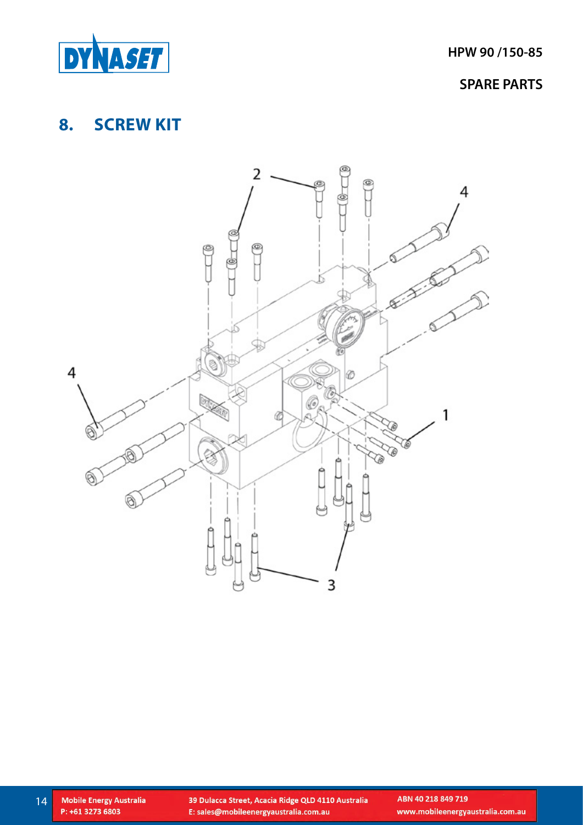<span id="page-13-0"></span>

### **SPARE PARTS**

# **8. SCREW KIT**



ABN 40 218 849 719 www.mobileenergyaustralia.com.au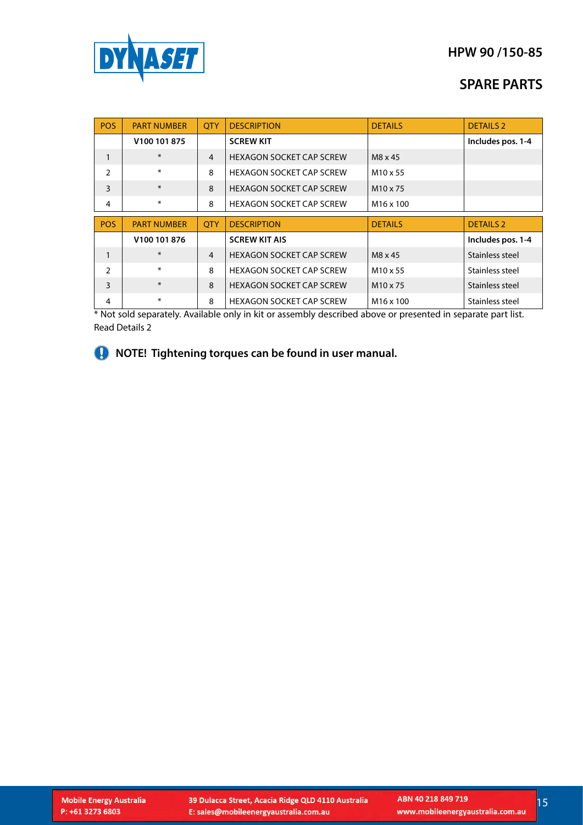

### **SPARE PARTS**

| POS           | <b>PART NUMBER</b> | <b>OTY</b>     | <b>DESCRIPTION</b>              | <b>DETAILS</b>        | <b>DETAILS 2</b>  |
|---------------|--------------------|----------------|---------------------------------|-----------------------|-------------------|
|               | V100 101 875       |                | <b>SCREW KIT</b>                |                       | Includes pos. 1-4 |
| 1             | $\ast$             | $\overline{4}$ | <b>HEXAGON SOCKET CAP SCREW</b> | M8 x 45               |                   |
| $\mathcal{P}$ | $\ast$             | 8              | <b>HEXAGON SOCKET CAP SCREW</b> | M <sub>10</sub> x 55  |                   |
| 3             | $\ast$             | 8              | <b>HEXAGON SOCKET CAP SCREW</b> | M <sub>10</sub> x 75  |                   |
| 4             | ∗                  | 8              | <b>HEXAGON SOCKET CAP SCREW</b> | M <sub>16</sub> x 100 |                   |
|               |                    |                |                                 |                       |                   |
| POS           | <b>PART NUMBER</b> | <b>OTY</b>     | <b>DESCRIPTION</b>              | <b>DETAILS</b>        | <b>DETAILS 2</b>  |
|               | V100 101 876       |                | <b>SCREW KIT AIS</b>            |                       | Includes pos. 1-4 |
| $\mathbf{1}$  | $*$                | $\overline{4}$ | <b>HEXAGON SOCKET CAP SCREW</b> | M8 x 45               | Stainless steel   |
| $\mathcal{P}$ | $\ast$             | 8              | <b>HEXAGON SOCKET CAP SCREW</b> | M <sub>10</sub> x 55  | Stainless steel   |
| 3             | $*$                | $\mathbf{8}$   | <b>HEXAGON SOCKET CAP SCREW</b> | M <sub>10</sub> x 75  | Stainless steel   |

\* Not sold separately. Available only in kit or assembly described above or presented in separate part list. Read Details 2

**A** NOTE! Tightening torques can be found in user manual.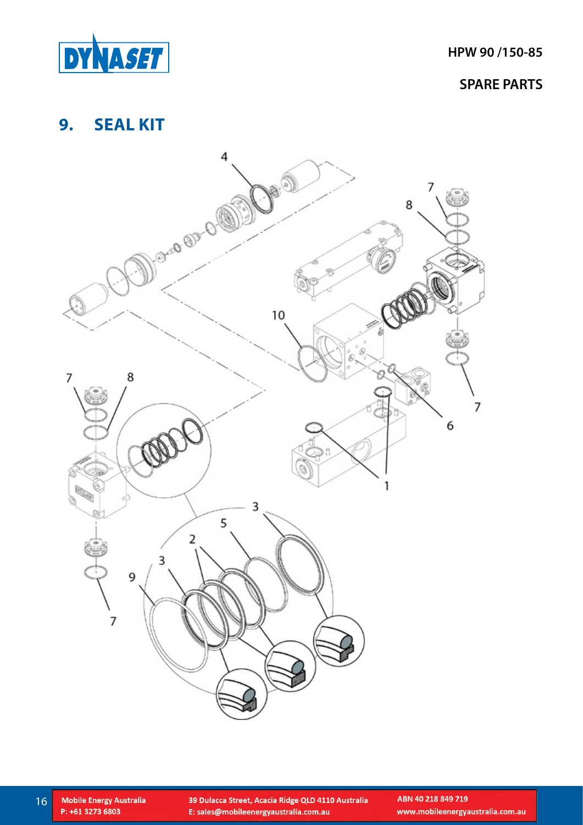<span id="page-15-0"></span>

# **9. SEAL KIT**

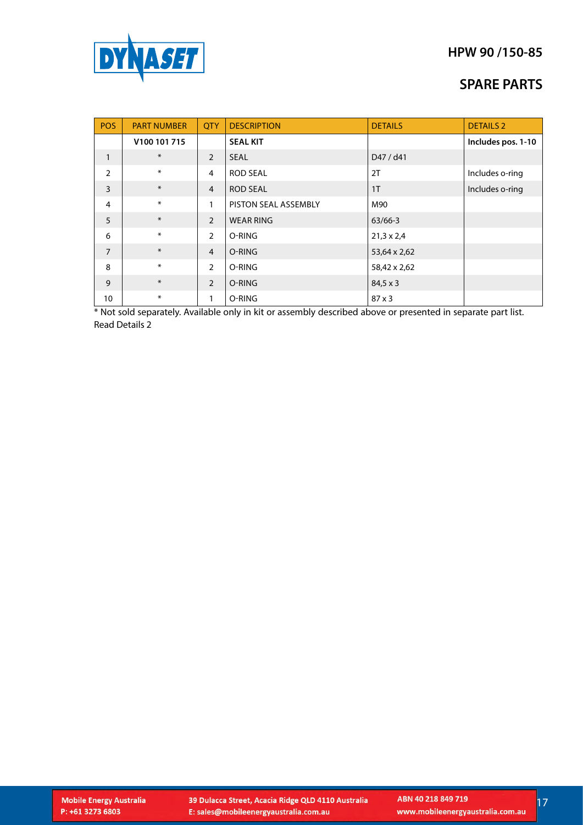

### **SPARE PARTS**

| <b>POS</b>     | <b>PART NUMBER</b> | <b>QTY</b>     | <b>DESCRIPTION</b>   | <b>DETAILS</b>    | <b>DETAILS 2</b>   |
|----------------|--------------------|----------------|----------------------|-------------------|--------------------|
|                | V100 101 715       |                | <b>SEAL KIT</b>      |                   | Includes pos. 1-10 |
| $\mathbf{1}$   | $\ast$             | $\overline{2}$ | <b>SEAL</b>          | D47 / d41         |                    |
| $\overline{2}$ | $\ast$             | $\overline{4}$ | <b>ROD SEAL</b>      | 2T                | Includes o-ring    |
| 3              | $\ast$             | $\overline{4}$ | <b>ROD SEAL</b>      | 1 <sub>T</sub>    | Includes o-ring    |
| 4              | $\ast$             | 1              | PISTON SEAL ASSEMBLY | M90               |                    |
| 5              | $\ast$             | $\overline{2}$ | <b>WEAR RING</b>     | $63/66-3$         |                    |
| 6              | $\ast$             | 2              | O-RING               | $21,3 \times 2,4$ |                    |
| $\overline{7}$ | $*$                | $\overline{4}$ | O-RING               | 53,64 x 2,62      |                    |
| 8              | $\ast$             | 2              | O-RING               | 58,42 x 2,62      |                    |
| 9              | $\ast$             | 2              | O-RING               | $84,5 \times 3$   |                    |
| 10             | $\ast$             | 1              | O-RING               | $87 \times 3$     |                    |

\* Not sold separately. Available only in kit or assembly described above or presented in separate part list. Read Details 2

 $17$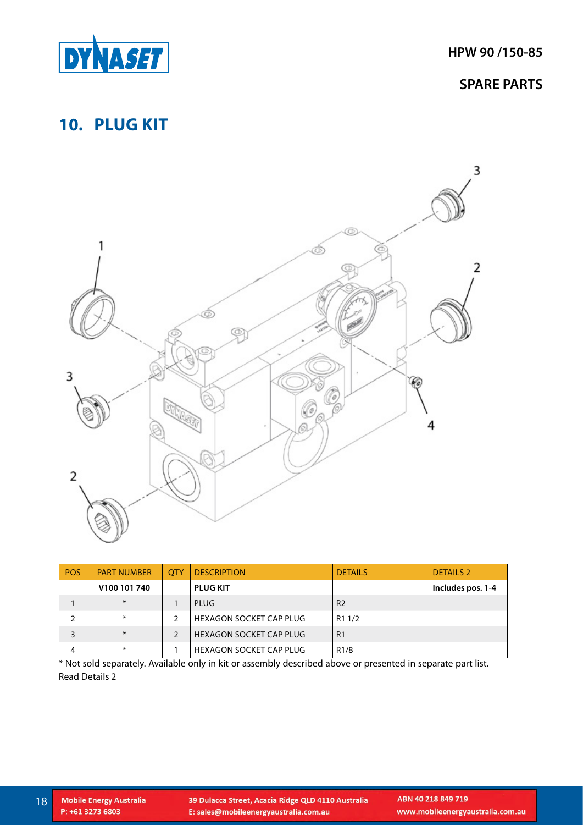<span id="page-17-0"></span>

# **10. PLUG KIT**



| <b>POS</b> | <b>PART NUMBER</b> | <b>OTY</b>    | <b>DESCRIPTION</b>             | <b>DETAILS</b>     | <b>DETAILS 2</b>  |
|------------|--------------------|---------------|--------------------------------|--------------------|-------------------|
|            | V100 101 740       |               | <b>PLUG KIT</b>                |                    | Includes pos. 1-4 |
|            | $\ast$             |               | PLUG                           | R <sub>2</sub>     |                   |
|            | $\ast$             | 2             | <b>HEXAGON SOCKET CAP PLUG</b> | R <sub>1</sub> 1/2 |                   |
|            | $\ast$             | $\mathcal{P}$ | <b>HEXAGON SOCKET CAP PLUG</b> | R <sub>1</sub>     |                   |
| 4          | $\ast$             |               | HEXAGON SOCKET CAP PLUG        | R1/8               |                   |

\* Not sold separately. Available only in kit or assembly described above or presented in separate part list. Read Details 2